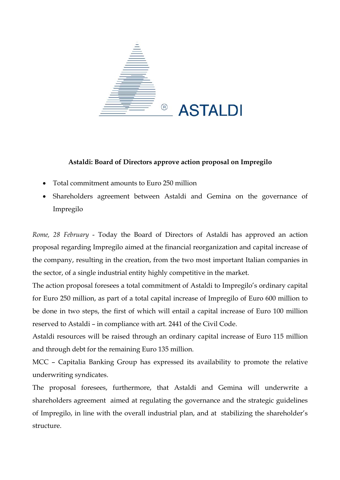

## **Astaldi: Board of Directors approve action proposal on Impregilo**

- Total commitment amounts to Euro 250 million
- Shareholders agreement between Astaldi and Gemina on the governance of Impregilo

*Rome, 28 February* - Today the Board of Directors of Astaldi has approved an action proposal regarding Impregilo aimed at the financial reorganization and capital increase of the company, resulting in the creation, from the two most important Italian companies in the sector, of a single industrial entity highly competitive in the market.

The action proposal foresees a total commitment of Astaldi to Impregilo's ordinary capital for Euro 250 million, as part of a total capital increase of Impregilo of Euro 600 million to be done in two steps, the first of which will entail a capital increase of Euro 100 million reserved to Astaldi – in compliance with art. 2441 of the Civil Code.

Astaldi resources will be raised through an ordinary capital increase of Euro 115 million and through debt for the remaining Euro 135 million.

MCC – Capitalia Banking Group has expressed its availability to promote the relative underwriting syndicates.

The proposal foresees, furthermore, that Astaldi and Gemina will underwrite a shareholders agreement aimed at regulating the governance and the strategic guidelines of Impregilo, in line with the overall industrial plan, and at stabilizing the shareholder's structure.